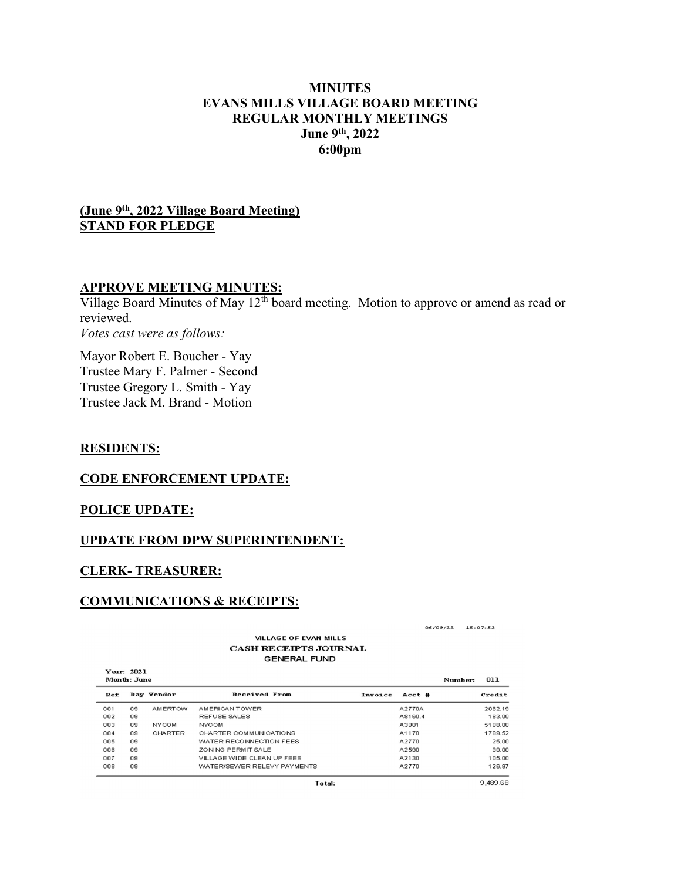## MINUTES EVANS MILLS VILLAGE BOARD MEETING REGULAR MONTHLY MEETINGS June 9th, 2022 6:00pm

# (June 9<sup>th</sup>, 2022 Village Board Meeting) STAND FOR PLEDGE

### APPROVE MEETING MINUTES:

Village Board Minutes of May  $12<sup>th</sup>$  board meeting. Motion to approve or amend as read or reviewed. Votes cast were as follows:

Mayor Robert E. Boucher - Yay Trustee Mary F. Palmer - Second Trustee Gregory L. Smith - Yay Trustee Jack M. Brand - Motion

### RESIDENTS:

#### CODE ENFORCEMENT UPDATE:

#### POLICE UPDATE:

Year: 2021

### UPDATE FROM DPW SUPERINTENDENT:

#### CLERK- TREASURER:

#### COMMUNICATIONS & RECEIPTS:

06/09/22 15:07:53

**VILLAGE OF EVAN MILLS** CASH RECEIPTS JOURNAL **GENERAL FUND** 

| Month: June |    |              |                             |         | Number: | 011 |               |
|-------------|----|--------------|-----------------------------|---------|---------|-----|---------------|
| Ref         |    | Day Vendor   | <b>Received From</b>        | Invoice | Acct #  |     | Credit        |
| 001         | 09 | AMERTOW      | AMERICAN TOWER              |         | A2770A  |     | 2062.19       |
| 002         | 09 |              | REFUSE SALES                |         | A8160.4 |     | 183.00        |
| 003         | 09 | <b>NYCOM</b> | <b>NYCOM</b>                |         | A3001   |     | 5108.00       |
| 004         | 09 | CHARTER      | CHARTER COMMUNICATIONS      |         | A1170   |     | 1789.52       |
| 005         | 09 |              | WATER RECONNECTION FEES     |         | A2770   |     | 25.00         |
| 006         | 09 |              | ZONING PERMIT SALE          |         | A2590   |     | 90.00         |
| 007         | 09 |              | VILLAGE WIDE CLEAN UP FEES  |         | A2130   |     | 105.00        |
| 008         | 09 |              | WATER/SEWER RELEVY PAYMENTS |         | A2770   |     | 126.97        |
|             |    |              | __                          |         |         |     | $\sim$ 100.00 |

Total:

9,489.68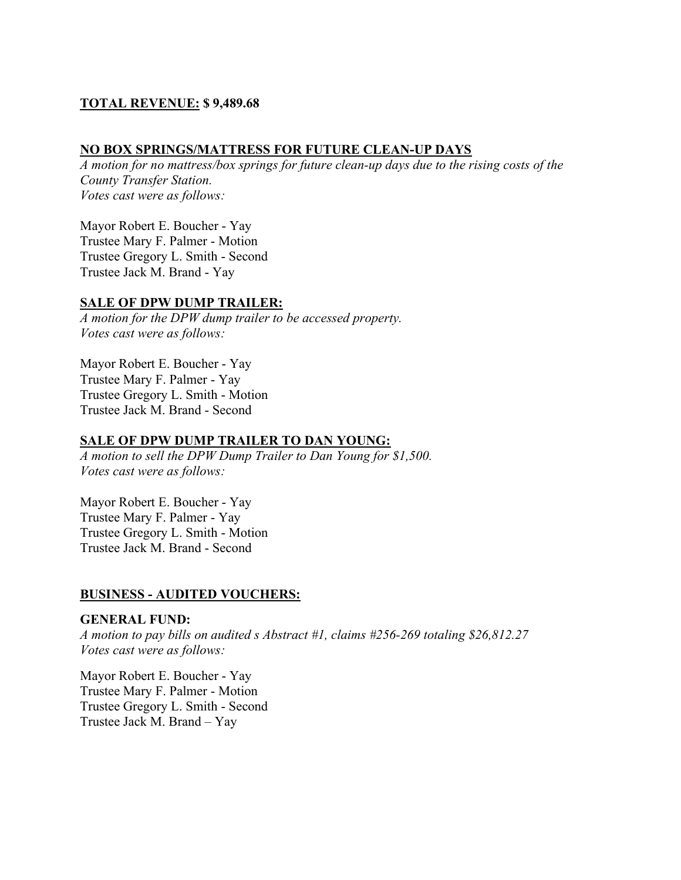## TOTAL REVENUE: \$ 9,489.68

### NO BOX SPRINGS/MATTRESS FOR FUTURE CLEAN-UP DAYS

A motion for no mattress/box springs for future clean-up days due to the rising costs of the County Transfer Station. Votes cast were as follows:

Mayor Robert E. Boucher - Yay Trustee Mary F. Palmer - Motion Trustee Gregory L. Smith - Second Trustee Jack M. Brand - Yay

### SALE OF DPW DUMP TRAILER:

A motion for the DPW dump trailer to be accessed property. Votes cast were as follows:

Mayor Robert E. Boucher - Yay Trustee Mary F. Palmer - Yay Trustee Gregory L. Smith - Motion Trustee Jack M. Brand - Second

### SALE OF DPW DUMP TRAILER TO DAN YOUNG:

A motion to sell the DPW Dump Trailer to Dan Young for \$1,500. Votes cast were as follows:

Mayor Robert E. Boucher - Yay Trustee Mary F. Palmer - Yay Trustee Gregory L. Smith - Motion Trustee Jack M. Brand - Second

### BUSINESS - AUDITED VOUCHERS:

GENERAL FUND: A motion to pay bills on audited s Abstract #1, claims #256-269 totaling \$26,812.27 Votes cast were as follows:

Mayor Robert E. Boucher - Yay Trustee Mary F. Palmer - Motion Trustee Gregory L. Smith - Second Trustee Jack M. Brand – Yay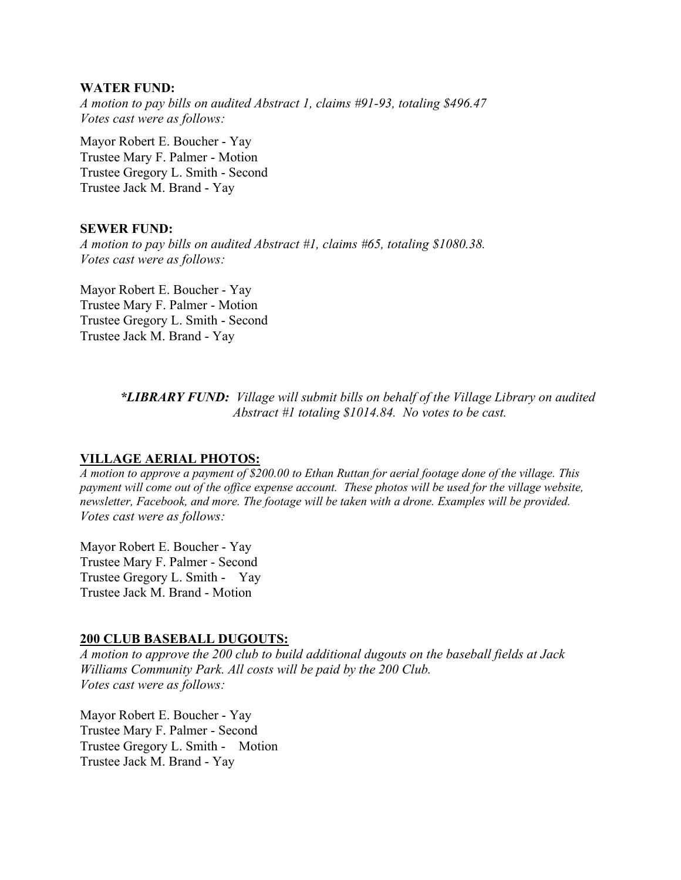#### WATER FUND:

A motion to pay bills on audited Abstract 1, claims #91-93, totaling \$496.47 Votes cast were as follows:

Mayor Robert E. Boucher - Yay Trustee Mary F. Palmer - Motion Trustee Gregory L. Smith - Second Trustee Jack M. Brand - Yay

#### SEWER FUND:

A motion to pay bills on audited Abstract #1, claims #65, totaling \$1080.38. Votes cast were as follows:

Mayor Robert E. Boucher - Yay Trustee Mary F. Palmer - Motion Trustee Gregory L. Smith - Second Trustee Jack M. Brand - Yay

> \*LIBRARY FUND: Village will submit bills on behalf of the Village Library on audited Abstract #1 totaling \$1014.84. No votes to be cast.

#### VILLAGE AERIAL PHOTOS:

A motion to approve a payment of \$200.00 to Ethan Ruttan for aerial footage done of the village. This payment will come out of the office expense account. These photos will be used for the village website, newsletter, Facebook, and more. The footage will be taken with a drone. Examples will be provided. Votes cast were as follows:

Mayor Robert E. Boucher - Yay Trustee Mary F. Palmer - Second Trustee Gregory L. Smith - Yay Trustee Jack M. Brand - Motion

#### 200 CLUB BASEBALL DUGOUTS:

A motion to approve the 200 club to build additional dugouts on the baseball fields at Jack Williams Community Park. All costs will be paid by the 200 Club. Votes cast were as follows:

Mayor Robert E. Boucher - Yay Trustee Mary F. Palmer - Second Trustee Gregory L. Smith - Motion Trustee Jack M. Brand - Yay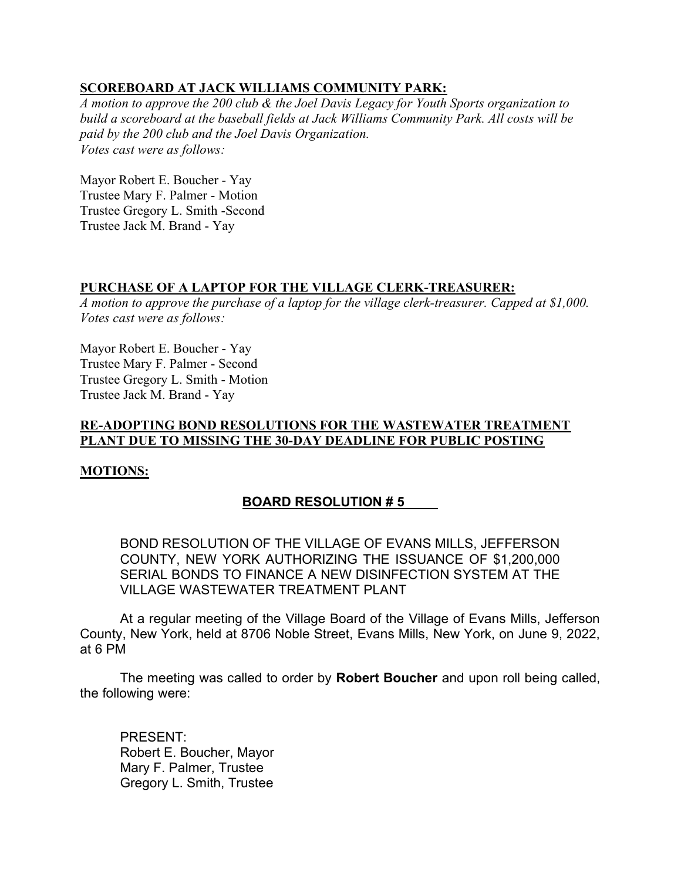## SCOREBOARD AT JACK WILLIAMS COMMUNITY PARK:

A motion to approve the 200 club & the Joel Davis Legacy for Youth Sports organization to build a scoreboard at the baseball fields at Jack Williams Community Park. All costs will be paid by the 200 club and the Joel Davis Organization. Votes cast were as follows:

Mayor Robert E. Boucher - Yay Trustee Mary F. Palmer - Motion Trustee Gregory L. Smith -Second Trustee Jack M. Brand - Yay

# PURCHASE OF A LAPTOP FOR THE VILLAGE CLERK-TREASURER:

A motion to approve the purchase of a laptop for the village clerk-treasurer. Capped at \$1,000. Votes cast were as follows:

Mayor Robert E. Boucher - Yay Trustee Mary F. Palmer - Second Trustee Gregory L. Smith - Motion Trustee Jack M. Brand - Yay

## RE-ADOPTING BOND RESOLUTIONS FOR THE WASTEWATER TREATMENT PLANT DUE TO MISSING THE 30-DAY DEADLINE FOR PUBLIC POSTING

## MOTIONS:

# BOARD RESOLUTION # 5

BOND RESOLUTION OF THE VILLAGE OF EVANS MILLS, JEFFERSON COUNTY, NEW YORK AUTHORIZING THE ISSUANCE OF \$1,200,000 SERIAL BONDS TO FINANCE A NEW DISINFECTION SYSTEM AT THE VILLAGE WASTEWATER TREATMENT PLANT

 At a regular meeting of the Village Board of the Village of Evans Mills, Jefferson County, New York, held at 8706 Noble Street, Evans Mills, New York, on June 9, 2022, at 6 PM

The meeting was called to order by Robert Boucher and upon roll being called, the following were:

PRESENT: Robert E. Boucher, Mayor Mary F. Palmer, Trustee Gregory L. Smith, Trustee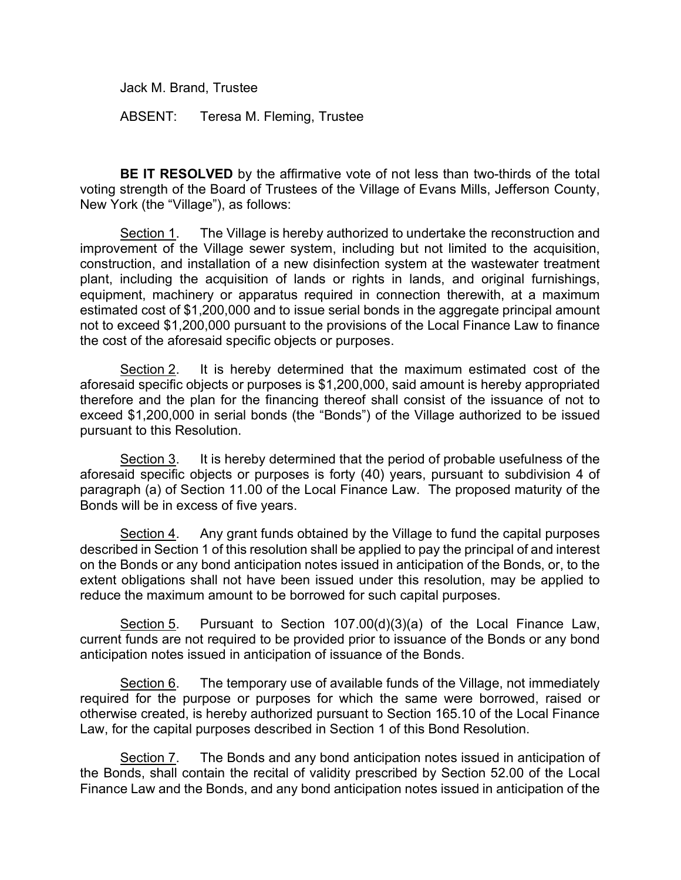Jack M. Brand, Trustee

ABSENT: Teresa M. Fleming, Trustee

**BE IT RESOLVED** by the affirmative vote of not less than two-thirds of the total voting strength of the Board of Trustees of the Village of Evans Mills, Jefferson County, New York (the "Village"), as follows:

Section 1. The Village is hereby authorized to undertake the reconstruction and improvement of the Village sewer system, including but not limited to the acquisition, construction, and installation of a new disinfection system at the wastewater treatment plant, including the acquisition of lands or rights in lands, and original furnishings, equipment, machinery or apparatus required in connection therewith, at a maximum estimated cost of \$1,200,000 and to issue serial bonds in the aggregate principal amount not to exceed \$1,200,000 pursuant to the provisions of the Local Finance Law to finance the cost of the aforesaid specific objects or purposes.

Section 2. It is hereby determined that the maximum estimated cost of the aforesaid specific objects or purposes is \$1,200,000, said amount is hereby appropriated therefore and the plan for the financing thereof shall consist of the issuance of not to exceed \$1,200,000 in serial bonds (the "Bonds") of the Village authorized to be issued pursuant to this Resolution.

Section 3. It is hereby determined that the period of probable usefulness of the aforesaid specific objects or purposes is forty (40) years, pursuant to subdivision 4 of paragraph (a) of Section 11.00 of the Local Finance Law. The proposed maturity of the Bonds will be in excess of five years.

Section 4. Any grant funds obtained by the Village to fund the capital purposes described in Section 1 of this resolution shall be applied to pay the principal of and interest on the Bonds or any bond anticipation notes issued in anticipation of the Bonds, or, to the extent obligations shall not have been issued under this resolution, may be applied to reduce the maximum amount to be borrowed for such capital purposes.

Section 5. Pursuant to Section 107.00(d)(3)(a) of the Local Finance Law, current funds are not required to be provided prior to issuance of the Bonds or any bond anticipation notes issued in anticipation of issuance of the Bonds.

Section 6. The temporary use of available funds of the Village, not immediately required for the purpose or purposes for which the same were borrowed, raised or otherwise created, is hereby authorized pursuant to Section 165.10 of the Local Finance Law, for the capital purposes described in Section 1 of this Bond Resolution.

Section 7. The Bonds and any bond anticipation notes issued in anticipation of the Bonds, shall contain the recital of validity prescribed by Section 52.00 of the Local Finance Law and the Bonds, and any bond anticipation notes issued in anticipation of the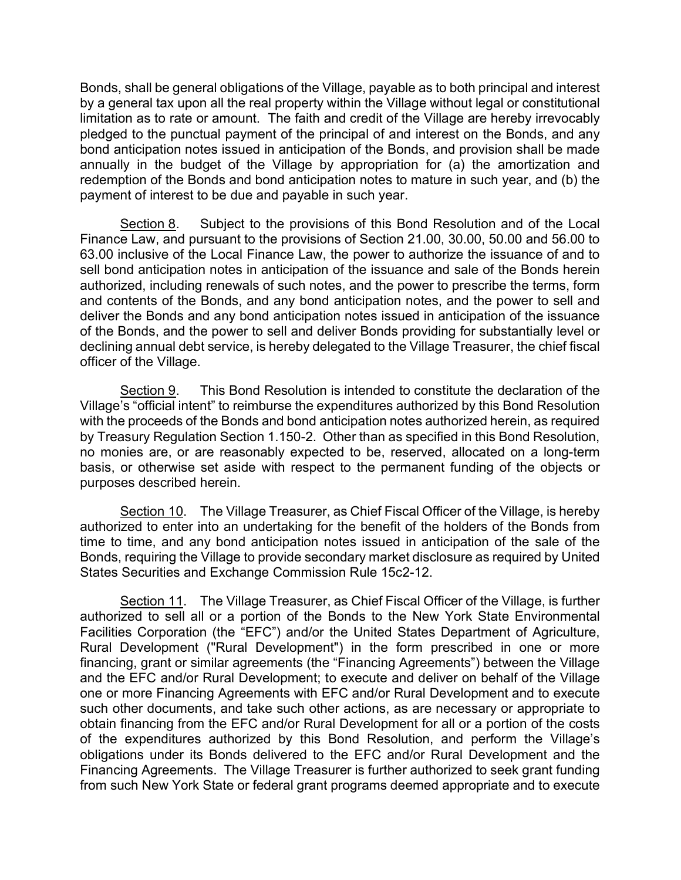Bonds, shall be general obligations of the Village, payable as to both principal and interest by a general tax upon all the real property within the Village without legal or constitutional limitation as to rate or amount. The faith and credit of the Village are hereby irrevocably pledged to the punctual payment of the principal of and interest on the Bonds, and any bond anticipation notes issued in anticipation of the Bonds, and provision shall be made annually in the budget of the Village by appropriation for (a) the amortization and redemption of the Bonds and bond anticipation notes to mature in such year, and (b) the payment of interest to be due and payable in such year.

Section 8. Subject to the provisions of this Bond Resolution and of the Local Finance Law, and pursuant to the provisions of Section 21.00, 30.00, 50.00 and 56.00 to 63.00 inclusive of the Local Finance Law, the power to authorize the issuance of and to sell bond anticipation notes in anticipation of the issuance and sale of the Bonds herein authorized, including renewals of such notes, and the power to prescribe the terms, form and contents of the Bonds, and any bond anticipation notes, and the power to sell and deliver the Bonds and any bond anticipation notes issued in anticipation of the issuance of the Bonds, and the power to sell and deliver Bonds providing for substantially level or declining annual debt service, is hereby delegated to the Village Treasurer, the chief fiscal officer of the Village.

Section 9. This Bond Resolution is intended to constitute the declaration of the Village's "official intent" to reimburse the expenditures authorized by this Bond Resolution with the proceeds of the Bonds and bond anticipation notes authorized herein, as required by Treasury Regulation Section 1.150-2. Other than as specified in this Bond Resolution, no monies are, or are reasonably expected to be, reserved, allocated on a long-term basis, or otherwise set aside with respect to the permanent funding of the objects or purposes described herein.

Section 10. The Village Treasurer, as Chief Fiscal Officer of the Village, is hereby authorized to enter into an undertaking for the benefit of the holders of the Bonds from time to time, and any bond anticipation notes issued in anticipation of the sale of the Bonds, requiring the Village to provide secondary market disclosure as required by United States Securities and Exchange Commission Rule 15c2-12.

Section 11. The Village Treasurer, as Chief Fiscal Officer of the Village, is further authorized to sell all or a portion of the Bonds to the New York State Environmental Facilities Corporation (the "EFC") and/or the United States Department of Agriculture, Rural Development ("Rural Development") in the form prescribed in one or more financing, grant or similar agreements (the "Financing Agreements") between the Village and the EFC and/or Rural Development; to execute and deliver on behalf of the Village one or more Financing Agreements with EFC and/or Rural Development and to execute such other documents, and take such other actions, as are necessary or appropriate to obtain financing from the EFC and/or Rural Development for all or a portion of the costs of the expenditures authorized by this Bond Resolution, and perform the Village's obligations under its Bonds delivered to the EFC and/or Rural Development and the Financing Agreements. The Village Treasurer is further authorized to seek grant funding from such New York State or federal grant programs deemed appropriate and to execute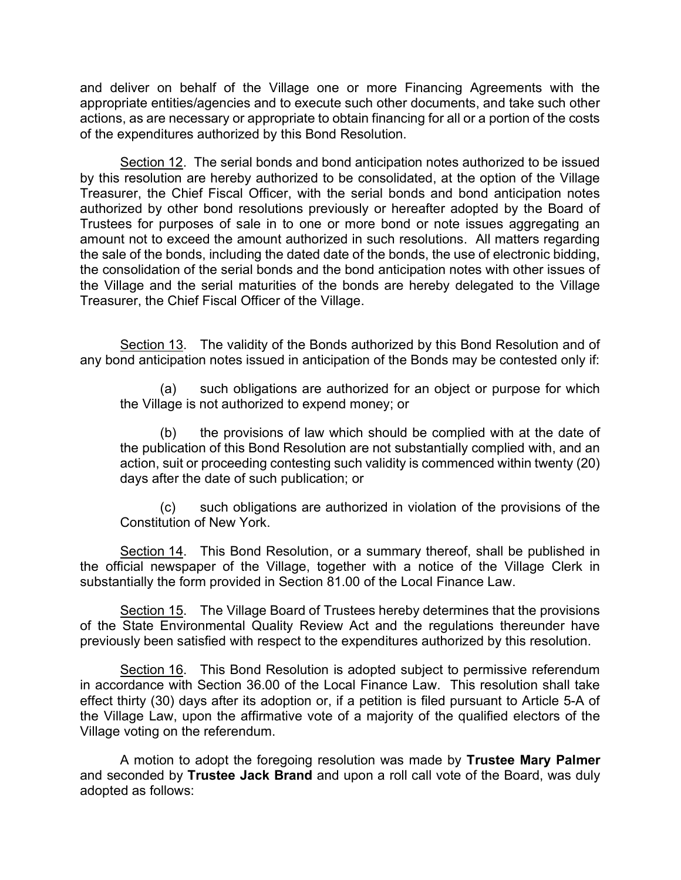and deliver on behalf of the Village one or more Financing Agreements with the appropriate entities/agencies and to execute such other documents, and take such other actions, as are necessary or appropriate to obtain financing for all or a portion of the costs of the expenditures authorized by this Bond Resolution.

 Section 12. The serial bonds and bond anticipation notes authorized to be issued by this resolution are hereby authorized to be consolidated, at the option of the Village Treasurer, the Chief Fiscal Officer, with the serial bonds and bond anticipation notes authorized by other bond resolutions previously or hereafter adopted by the Board of Trustees for purposes of sale in to one or more bond or note issues aggregating an amount not to exceed the amount authorized in such resolutions. All matters regarding the sale of the bonds, including the dated date of the bonds, the use of electronic bidding, the consolidation of the serial bonds and the bond anticipation notes with other issues of the Village and the serial maturities of the bonds are hereby delegated to the Village Treasurer, the Chief Fiscal Officer of the Village.

Section 13. The validity of the Bonds authorized by this Bond Resolution and of any bond anticipation notes issued in anticipation of the Bonds may be contested only if:

(a) such obligations are authorized for an object or purpose for which the Village is not authorized to expend money; or

(b) the provisions of law which should be complied with at the date of the publication of this Bond Resolution are not substantially complied with, and an action, suit or proceeding contesting such validity is commenced within twenty (20) days after the date of such publication; or

(c) such obligations are authorized in violation of the provisions of the Constitution of New York.

Section 14. This Bond Resolution, or a summary thereof, shall be published in the official newspaper of the Village, together with a notice of the Village Clerk in substantially the form provided in Section 81.00 of the Local Finance Law.

Section 15. The Village Board of Trustees hereby determines that the provisions of the State Environmental Quality Review Act and the regulations thereunder have previously been satisfied with respect to the expenditures authorized by this resolution.

Section 16. This Bond Resolution is adopted subject to permissive referendum in accordance with Section 36.00 of the Local Finance Law. This resolution shall take effect thirty (30) days after its adoption or, if a petition is filed pursuant to Article 5-A of the Village Law, upon the affirmative vote of a majority of the qualified electors of the Village voting on the referendum.

A motion to adopt the foregoing resolution was made by Trustee Mary Palmer and seconded by Trustee Jack Brand and upon a roll call vote of the Board, was duly adopted as follows: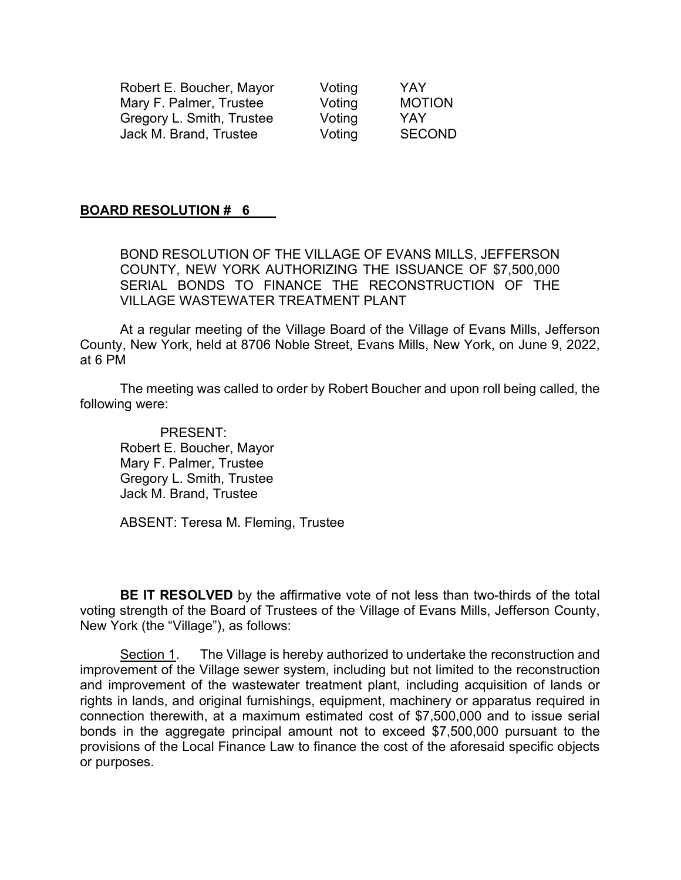| Robert E. Boucher, Mayor  | Voting | YAY           |
|---------------------------|--------|---------------|
| Mary F. Palmer, Trustee   | Voting | <b>MOTION</b> |
| Gregory L. Smith, Trustee | Voting | YAY           |
| Jack M. Brand, Trustee    | Voting | <b>SECOND</b> |

## BOARD RESOLUTION # 6

BOND RESOLUTION OF THE VILLAGE OF EVANS MILLS, JEFFERSON COUNTY, NEW YORK AUTHORIZING THE ISSUANCE OF \$7,500,000 SERIAL BONDS TO FINANCE THE RECONSTRUCTION OF THE VILLAGE WASTEWATER TREATMENT PLANT

 At a regular meeting of the Village Board of the Village of Evans Mills, Jefferson County, New York, held at 8706 Noble Street, Evans Mills, New York, on June 9, 2022, at 6 PM

 The meeting was called to order by Robert Boucher and upon roll being called, the following were:

 PRESENT: Robert E. Boucher, Mayor Mary F. Palmer, Trustee Gregory L. Smith, Trustee Jack M. Brand, Trustee

ABSENT: Teresa M. Fleming, Trustee

**BE IT RESOLVED** by the affirmative vote of not less than two-thirds of the total voting strength of the Board of Trustees of the Village of Evans Mills, Jefferson County, New York (the "Village"), as follows:

Section 1. The Village is hereby authorized to undertake the reconstruction and improvement of the Village sewer system, including but not limited to the reconstruction and improvement of the wastewater treatment plant, including acquisition of lands or rights in lands, and original furnishings, equipment, machinery or apparatus required in connection therewith, at a maximum estimated cost of \$7,500,000 and to issue serial bonds in the aggregate principal amount not to exceed \$7,500,000 pursuant to the provisions of the Local Finance Law to finance the cost of the aforesaid specific objects or purposes.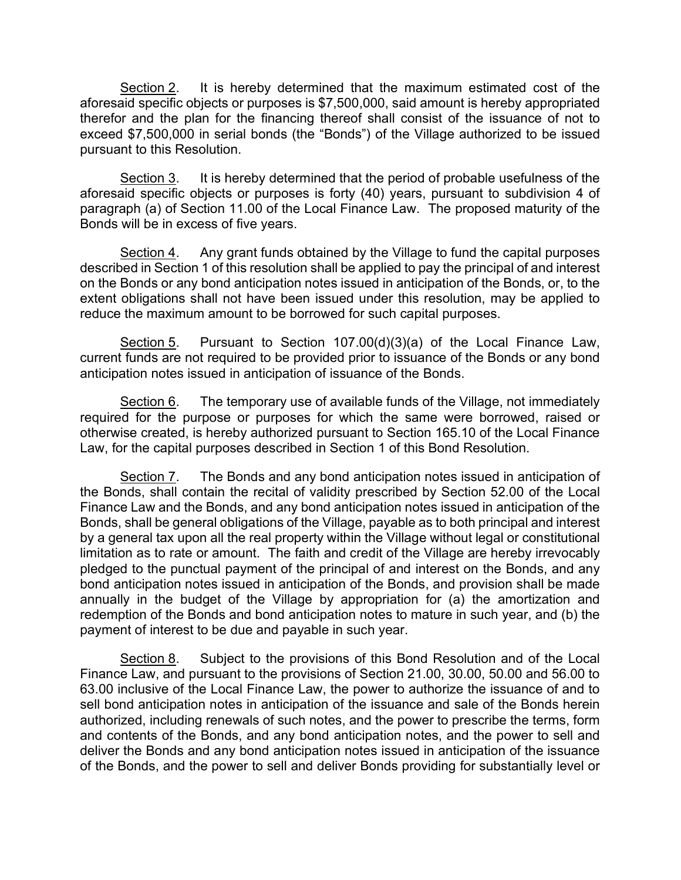Section 2. It is hereby determined that the maximum estimated cost of the aforesaid specific objects or purposes is \$7,500,000, said amount is hereby appropriated therefor and the plan for the financing thereof shall consist of the issuance of not to exceed \$7,500,000 in serial bonds (the "Bonds") of the Village authorized to be issued pursuant to this Resolution.

Section 3. It is hereby determined that the period of probable usefulness of the aforesaid specific objects or purposes is forty (40) years, pursuant to subdivision 4 of paragraph (a) of Section 11.00 of the Local Finance Law. The proposed maturity of the Bonds will be in excess of five years.

Section 4. Any grant funds obtained by the Village to fund the capital purposes described in Section 1 of this resolution shall be applied to pay the principal of and interest on the Bonds or any bond anticipation notes issued in anticipation of the Bonds, or, to the extent obligations shall not have been issued under this resolution, may be applied to reduce the maximum amount to be borrowed for such capital purposes.

Section 5. Pursuant to Section 107.00(d)(3)(a) of the Local Finance Law, current funds are not required to be provided prior to issuance of the Bonds or any bond anticipation notes issued in anticipation of issuance of the Bonds.

Section 6. The temporary use of available funds of the Village, not immediately required for the purpose or purposes for which the same were borrowed, raised or otherwise created, is hereby authorized pursuant to Section 165.10 of the Local Finance Law, for the capital purposes described in Section 1 of this Bond Resolution.

Section 7. The Bonds and any bond anticipation notes issued in anticipation of the Bonds, shall contain the recital of validity prescribed by Section 52.00 of the Local Finance Law and the Bonds, and any bond anticipation notes issued in anticipation of the Bonds, shall be general obligations of the Village, payable as to both principal and interest by a general tax upon all the real property within the Village without legal or constitutional limitation as to rate or amount. The faith and credit of the Village are hereby irrevocably pledged to the punctual payment of the principal of and interest on the Bonds, and any bond anticipation notes issued in anticipation of the Bonds, and provision shall be made annually in the budget of the Village by appropriation for (a) the amortization and redemption of the Bonds and bond anticipation notes to mature in such year, and (b) the payment of interest to be due and payable in such year.

Section 8. Subject to the provisions of this Bond Resolution and of the Local Finance Law, and pursuant to the provisions of Section 21.00, 30.00, 50.00 and 56.00 to 63.00 inclusive of the Local Finance Law, the power to authorize the issuance of and to sell bond anticipation notes in anticipation of the issuance and sale of the Bonds herein authorized, including renewals of such notes, and the power to prescribe the terms, form and contents of the Bonds, and any bond anticipation notes, and the power to sell and deliver the Bonds and any bond anticipation notes issued in anticipation of the issuance of the Bonds, and the power to sell and deliver Bonds providing for substantially level or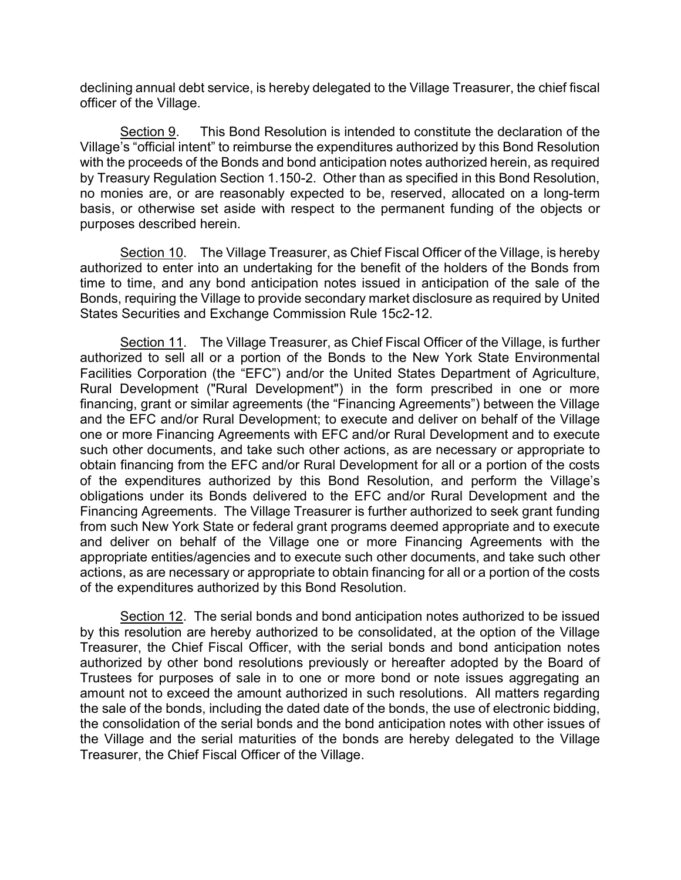declining annual debt service, is hereby delegated to the Village Treasurer, the chief fiscal officer of the Village.

Section 9. This Bond Resolution is intended to constitute the declaration of the Village's "official intent" to reimburse the expenditures authorized by this Bond Resolution with the proceeds of the Bonds and bond anticipation notes authorized herein, as required by Treasury Regulation Section 1.150-2. Other than as specified in this Bond Resolution, no monies are, or are reasonably expected to be, reserved, allocated on a long-term basis, or otherwise set aside with respect to the permanent funding of the objects or purposes described herein.

Section 10. The Village Treasurer, as Chief Fiscal Officer of the Village, is hereby authorized to enter into an undertaking for the benefit of the holders of the Bonds from time to time, and any bond anticipation notes issued in anticipation of the sale of the Bonds, requiring the Village to provide secondary market disclosure as required by United States Securities and Exchange Commission Rule 15c2-12.

Section 11. The Village Treasurer, as Chief Fiscal Officer of the Village, is further authorized to sell all or a portion of the Bonds to the New York State Environmental Facilities Corporation (the "EFC") and/or the United States Department of Agriculture, Rural Development ("Rural Development") in the form prescribed in one or more financing, grant or similar agreements (the "Financing Agreements") between the Village and the EFC and/or Rural Development; to execute and deliver on behalf of the Village one or more Financing Agreements with EFC and/or Rural Development and to execute such other documents, and take such other actions, as are necessary or appropriate to obtain financing from the EFC and/or Rural Development for all or a portion of the costs of the expenditures authorized by this Bond Resolution, and perform the Village's obligations under its Bonds delivered to the EFC and/or Rural Development and the Financing Agreements. The Village Treasurer is further authorized to seek grant funding from such New York State or federal grant programs deemed appropriate and to execute and deliver on behalf of the Village one or more Financing Agreements with the appropriate entities/agencies and to execute such other documents, and take such other actions, as are necessary or appropriate to obtain financing for all or a portion of the costs of the expenditures authorized by this Bond Resolution.

 Section 12. The serial bonds and bond anticipation notes authorized to be issued by this resolution are hereby authorized to be consolidated, at the option of the Village Treasurer, the Chief Fiscal Officer, with the serial bonds and bond anticipation notes authorized by other bond resolutions previously or hereafter adopted by the Board of Trustees for purposes of sale in to one or more bond or note issues aggregating an amount not to exceed the amount authorized in such resolutions. All matters regarding the sale of the bonds, including the dated date of the bonds, the use of electronic bidding, the consolidation of the serial bonds and the bond anticipation notes with other issues of the Village and the serial maturities of the bonds are hereby delegated to the Village Treasurer, the Chief Fiscal Officer of the Village.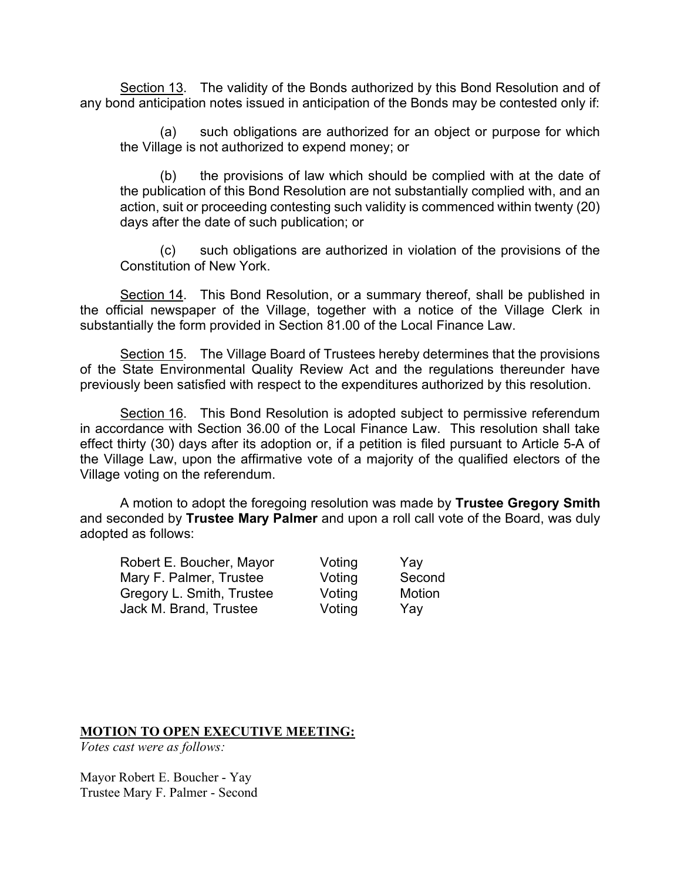Section 13. The validity of the Bonds authorized by this Bond Resolution and of any bond anticipation notes issued in anticipation of the Bonds may be contested only if:

(a) such obligations are authorized for an object or purpose for which the Village is not authorized to expend money; or

(b) the provisions of law which should be complied with at the date of the publication of this Bond Resolution are not substantially complied with, and an action, suit or proceeding contesting such validity is commenced within twenty (20) days after the date of such publication; or

(c) such obligations are authorized in violation of the provisions of the Constitution of New York.

Section 14. This Bond Resolution, or a summary thereof, shall be published in the official newspaper of the Village, together with a notice of the Village Clerk in substantially the form provided in Section 81.00 of the Local Finance Law.

Section 15. The Village Board of Trustees hereby determines that the provisions of the State Environmental Quality Review Act and the regulations thereunder have previously been satisfied with respect to the expenditures authorized by this resolution.

Section 16. This Bond Resolution is adopted subject to permissive referendum in accordance with Section 36.00 of the Local Finance Law. This resolution shall take effect thirty (30) days after its adoption or, if a petition is filed pursuant to Article 5-A of the Village Law, upon the affirmative vote of a majority of the qualified electors of the Village voting on the referendum.

A motion to adopt the foregoing resolution was made by Trustee Gregory Smith and seconded by Trustee Mary Palmer and upon a roll call vote of the Board, was duly adopted as follows:

| Robert E. Boucher, Mayor  | Voting | Yay    |
|---------------------------|--------|--------|
| Mary F. Palmer, Trustee   | Voting | Second |
| Gregory L. Smith, Trustee | Voting | Motion |
| Jack M. Brand, Trustee    | Voting | Yay    |

#### MOTION TO OPEN EXECUTIVE MEETING:

Votes cast were as follows:

Mayor Robert E. Boucher - Yay Trustee Mary F. Palmer - Second